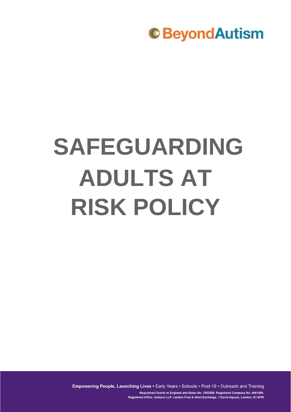

# **SAFEGUARDING ADULTS AT RISK POLICY**

Empowering People, Launching Lives • Early Years • Schools • Post-19 • Outreach and Training

Registered Charity in England and Wales No. 1082599. Registered Company No. 4041459. Registered Office: Ashurst LLP, London Fruit & Wool Exchange, 1 Duval Square, London, E1 6PW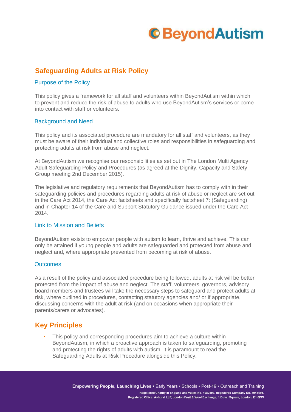

## **Safeguarding Adults at Risk Policy**

### Purpose of the Policy

This policy gives a framework for all staff and volunteers within BeyondAutism within which to prevent and reduce the risk of abuse to adults who use BeyondAutism's services or come into contact with staff or volunteers.

### Background and Need

This policy and its associated procedure are mandatory for all staff and volunteers, as they must be aware of their individual and collective roles and responsibilities in safeguarding and protecting adults at risk from abuse and neglect.

At BeyondAutism we recognise our responsibilities as set out in The London Multi Agency Adult Safeguarding Policy and Procedures (as agreed at the Dignity, Capacity and Safety Group meeting 2nd December 2015).

The legislative and regulatory requirements that BeyondAutism has to comply with in their safeguarding policies and procedures regarding adults at risk of abuse or neglect are set out in the Care Act 2014, the Care Act factsheets and specifically factsheet 7: (Safeguarding) and in Chapter 14 of the Care and Support Statutory Guidance issued under the Care Act 2014.

#### Link to Mission and Beliefs

BeyondAutism exists to empower people with autism to learn, thrive and achieve. This can only be attained if young people and adults are safeguarded and protected from abuse and neglect and, where appropriate prevented from becoming at risk of abuse.

#### **Outcomes**

As a result of the policy and associated procedure being followed, adults at risk will be better protected from the impact of abuse and neglect. The staff, volunteers, governors, advisory board members and trustees will take the necessary steps to safeguard and protect adults at risk, where outlined in procedures, contacting statutory agencies and/ or if appropriate, discussing concerns with the adult at risk (and on occasions when appropriate their parents/carers or advocates).

### **Key Principles**

This policy and corresponding procedures aim to achieve a culture within BeyondAutism, in which a proactive approach is taken to safeguarding, promoting and protecting the rights of adults with autism. It is paramount to read the Safeguarding Adults at Risk Procedure alongside this Policy.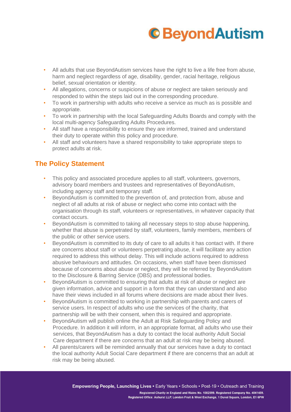

- All adults that use BeyondAutism services have the right to live a life free from abuse, harm and neglect regardless of age, disability, gender, racial heritage, religious belief, sexual orientation or identity.
- All allegations, concerns or suspicions of abuse or neglect are taken seriously and responded to within the steps laid out in the corresponding procedure.
- To work in partnership with adults who receive a service as much as is possible and appropriate.
- To work in partnership with the local Safeguarding Adults Boards and comply with the local multi-agency Safeguarding Adults Procedures.
- All staff have a responsibility to ensure they are informed, trained and understand their duty to operate within this policy and procedure.
- All staff and volunteers have a shared responsibility to take appropriate steps to protect adults at risk.

# **The Policy Statement**

- This policy and associated procedure applies to all staff, volunteers, governors, advisory board members and trustees and representatives of BeyondAutism, including agency staff and temporary staff.
- BeyondAutism is committed to the prevention of, and protection from, abuse and neglect of all adults at risk of abuse or neglect who come into contact with the organisation through its staff, volunteers or representatives, in whatever capacity that contact occurs.
- BeyondAutism is committed to taking all necessary steps to stop abuse happening, whether that abuse is perpetrated by staff, volunteers, family members, members of the public or other service users.
- BeyondAutism is committed to its duty of care to all adults it has contact with. If there are concerns about staff or volunteers perpetrating abuse, it will facilitate any action required to address this without delay. This will include actions required to address abusive behaviours and attitudes. On occasions, when staff have been dismissed because of concerns about abuse or neglect, they will be referred by BeyondAutism to the Disclosure & Barring Service (DBS) and professional bodies.
- BeyondAutism is committed to ensuring that adults at risk of abuse or neglect are given information, advice and support in a form that they can understand and also have their views included in all forums where decisions are made about their lives.
- BeyondAutism is committed to working in partnership with parents and carers of service users. In respect of adults who use the services of the charity, that partnership will be with their consent, when this is required and appropriate.
- BeyondAutism will publish online the Adult at Risk Safeguarding Policy and Procedure. In addition it will inform, in an appropriate format, all adults who use their services, that BeyondAutism has a duty to contact the local authority Adult Social Care department if there are concerns that an adult at risk may be being abused.
- All parents/carers will be reminded annually that our services have a duty to contact the local authority Adult Social Care department if there are concerns that an adult at risk may be being abused.

Empowering People, Launching Lives . Early Years . Schools . Post-19 . Outreach and Training Registered Charity in England and Wales No. 1082599. Registered Company No. 4041459. Registered Office: Ashurst LLP, London Fruit & Wool Exchange, 1 Duval Square, London, E1 6PW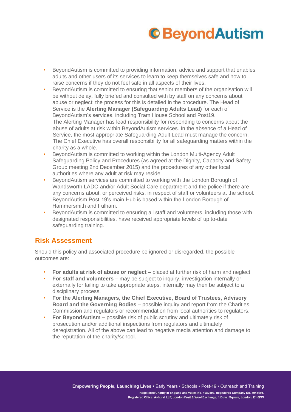# **C**BeyondAutism

- BeyondAutism is committed to providing information, advice and support that enables adults and other users of its services to learn to keep themselves safe and how to raise concerns if they do not feel safe in all aspects of their lives.
- BeyondAutism is committed to ensuring that senior members of the organisation will be without delay, fully briefed and consulted with by staff on any concerns about abuse or neglect: the process for this is detailed in the procedure. The Head of Service is the **Alerting Manager (Safeguarding Adults Lead)** for each of BeyondAutism's services, including Tram House School and Post19. The Alerting Manager has lead responsibility for responding to concerns about the abuse of adults at risk within BeyondAutism services. In the absence of a Head of Service, the most appropriate Safeguarding Adult Lead must manage the concern. The Chief Executive has overall responsibility for all safeguarding matters within the charity as a whole.
- BeyondAutism is committed to working within the London Multi-Agency Adult Safeguarding Policy and Procedures (as agreed at the Dignity, Capacity and Safety Group meeting 2nd December 2015) and the procedures of any other local authorities where any adult at risk may reside.
- BeyondAutism services are committed to working with the London Borough of Wandsworth LADO and/or Adult Social Care department and the police if there are any concerns about, or perceived risks, in respect of staff or volunteers at the school. BeyondAutism Post-19's main Hub is based within the London Borough of Hammersmith and Fulham.
- BeyondAutism is committed to ensuring all staff and volunteers, including those with designated responsibilities, have received appropriate levels of up to-date safeguarding training.

### **Risk Assessment**

Should this policy and associated procedure be ignored or disregarded, the possible outcomes are:

- **For adults at risk of abuse or neglect –** placed at further risk of harm and neglect.
- **For staff and volunteers –** may be subject to inquiry, investigation internally or externally for failing to take appropriate steps, internally may then be subject to a disciplinary process.
- **For the Alerting Managers, the Chief Executive, Board of Trustees, Advisory Board and the Governing Bodies –** possible inquiry and report from the Charities Commission and regulators or recommendation from local authorities to regulators.
- **For BeyondAutism –** possible risk of public scrutiny and ultimately risk of prosecution and/or additional inspections from regulators and ultimately deregistration. All of the above can lead to negative media attention and damage to the reputation of the charity/school.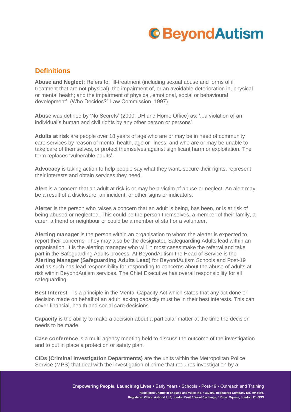# **C**BeyondAutism

# **Definitions**

**Abuse and Neglect:** Refers to: 'ill-treatment (including sexual abuse and forms of ill treatment that are not physical); the impairment of, or an avoidable deterioration in, physical or mental health; and the impairment of physical, emotional, social or behavioural development'. (Who Decides?" Law Commission, 1997)

**Abuse** was defined by 'No Secrets' (2000, DH and Home Office) as: '...a violation of an individual's human and civil rights by any other person or persons'.

**Adults at risk** are people over 18 years of age who are or may be in need of community care services by reason of mental health, age or illness, and who are or may be unable to take care of themselves, or protect themselves against significant harm or exploitation. The term replaces 'vulnerable adults'.

Advocacy is taking action to help people say what they want, secure their rights, represent their interests and obtain services they need.

**Alert** is a concern that an adult at risk is or may be a victim of abuse or neglect. An alert may be a result of a disclosure, an incident, or other signs or indicators.

**Alerter** is the person who raises a concern that an adult is being, has been, or is at risk of being abused or neglected. This could be the person themselves, a member of their family, a carer, a friend or neighbour or could be a member of staff or a volunteer.

**Alerting manager** is the person within an organisation to whom the alerter is expected to report their concerns. They may also be the designated Safeguarding Adults lead within an organisation. It is the alerting manager who will in most cases make the referral and take part in the Safeguarding Adults process. At BeyondAutism the Head of Service is the **Alerting Manager (Safeguarding Adults Lead)** for BeyondAutism Schools and Post-19 and as such has lead responsibility for responding to concerns about the abuse of adults at risk within BeyondAutism services. The Chief Executive has overall responsibility for all safeguarding.

**Best Interest –** is a principle in the Mental Capacity Act which states that any act done or decision made on behalf of an adult lacking capacity must be in their best interests. This can cover financial, health and social care decisions.

**Capacity** is the ability to make a decision about a particular matter at the time the decision needs to be made.

**Case conference** is a multi-agency meeting held to discuss the outcome of the investigation and to put in place a protection or safety plan.

**CIDs (Criminal Investigation Departments)** are the units within the Metropolitan Police Service (MPS) that deal with the investigation of crime that requires investigation by a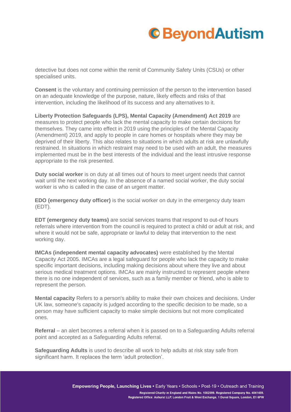# **C**BeyondAutism

detective but does not come within the remit of Community Safety Units (CSUs) or other specialised units.

**Consent** is the voluntary and continuing permission of the person to the intervention based on an adequate knowledge of the purpose, nature, likely effects and risks of that intervention, including the likelihood of its success and any alternatives to it.

**Liberty Protection Safeguards (LPS), Mental Capacity (Amendment) Act 2019** are measures to protect people who lack the mental capacity to make certain decisions for themselves. They came into effect in 2019 using the principles of the Mental Capacity (Amendment) 2019, and apply to people in care homes or hospitals where they may be deprived of their liberty. This also relates to situations in which adults at risk are unlawfully restrained. In situations in which restraint may need to be used with an adult, the measures implemented must be in the best interests of the individual and the least intrusive response appropriate to the risk presented.

**Duty social worker** is on duty at all times out of hours to meet urgent needs that cannot wait until the next working day. In the absence of a named social worker, the duty social worker is who is called in the case of an urgent matter.

**EDO (emergency duty officer)** is the social worker on duty in the emergency duty team (EDT).

**EDT (emergency duty teams)** are social services teams that respond to out-of hours referrals where intervention from the council is required to protect a child or adult at risk, and where it would not be safe, appropriate or lawful to delay that intervention to the next working day.

**IMCAs (independent mental capacity advocates)** were established by the Mental Capacity Act 2005. IMCAs are a legal safeguard for people who lack the capacity to make specific important decisions, including making decisions about where they live and about serious medical treatment options. IMCAs are mainly instructed to represent people where there is no one independent of services, such as a family member or friend, who is able to represent the person.

**Mental capacity** Refers to a person's ability to make their own choices and decisions. Under UK law, someone's capacity is judged according to the specific decision to be made, so a person may have sufficient capacity to make simple decisions but not more complicated ones.

**Referral** – an alert becomes a referral when it is passed on to a Safeguarding Adults referral point and accepted as a Safeguarding Adults referral.

**Safeguarding Adults** is used to describe all work to help adults at risk stay safe from significant harm. It replaces the term 'adult protection'.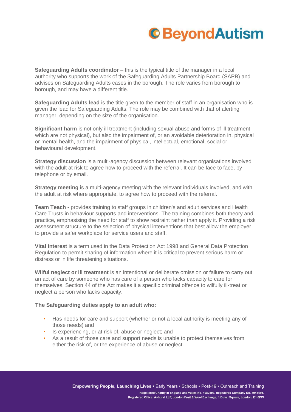

**Safeguarding Adults coordinator** – this is the typical title of the manager in a local authority who supports the work of the Safeguarding Adults Partnership Board (SAPB) and advises on Safeguarding Adults cases in the borough. The role varies from borough to borough, and may have a different title.

**Safeguarding Adults lead** is the title given to the member of staff in an organisation who is given the lead for Safeguarding Adults. The role may be combined with that of alerting manager, depending on the size of the organisation.

**Significant harm** is not only ill treatment (including sexual abuse and forms of ill treatment which are not physical), but also the impairment of, or an avoidable deterioration in, physical or mental health, and the impairment of physical, intellectual, emotional, social or behavioural development.

**Strategy discussion** is a multi-agency discussion between relevant organisations involved with the adult at risk to agree how to proceed with the referral. It can be face to face, by telephone or by email.

**Strategy meeting** is a multi-agency meeting with the relevant individuals involved, and with the adult at risk where appropriate, to agree how to proceed with the referral.

**Team Teach** - provides training to staff groups in children's and adult services and Health Care Trusts in behaviour supports and interventions. The training combines both theory and practice, emphasising the need for staff to show restraint rather than apply it. Providing a risk assessment structure to the selection of physical interventions that best allow the employer to provide a safer workplace for service users and staff.

**Vital interest** is a term used in the Data Protection Act 1998 and General Data Protection Regulation to permit sharing of information where it is critical to prevent serious harm or distress or in life threatening situations.

**Wilful neglect or ill treatment** is an intentional or deliberate omission or failure to carry out an act of care by someone who has care of a person who lacks capacity to care for themselves. Section 44 of the Act makes it a specific criminal offence to wilfully ill-treat or neglect a person who lacks capacity.

#### **The Safeguarding duties apply to an adult who:**

- Has needs for care and support (whether or not a local authority is meeting any of those needs) and
- Is experiencing, or at risk of, abuse or neglect; and
- As a result of those care and support needs is unable to protect themselves from either the risk of, or the experience of abuse or neglect.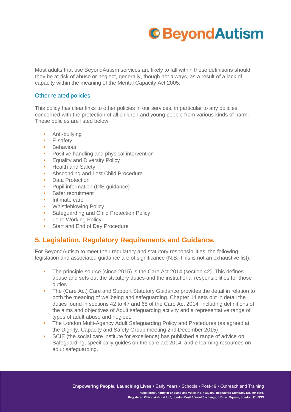

Most adults that use BeyondAutism services are likely to fall within these definitions should they be at risk of abuse or neglect, generally, though not always, as a result of a lack of capacity within the meaning of the Mental Capacity Act 2005.

### Other related policies

This policy has clear links to other policies in our services, in particular to any policies concerned with the protection of all children and young people from various kinds of harm. These policies are listed below:

- Anti-bullying
- E-safety
- Behaviour
- Positive handling and physical intervention
- Equality and Diversity Policy
- Health and Safety
- Absconding and Lost Child Procedure
- Data Protection
- Pupil information (DfE guidance)
- Safer recruitment
- Intimate care
- Whistleblowing Policy
- Safeguarding and Child Protection Policy
- Lone Working Policy
- Start and End of Day Procedure

### **5. Legislation, Regulatory Requirements and Guidance.**

For BeyondAutism to meet their regulatory and statutory responsibilities, the following legislation and associated guidance are of significance (N.B. This is not an exhaustive list).

- The principle source (since 2015) is the Care Act 2014 (section 42). This defines abuse and sets out the statutory duties and the institutional responsibilities for those duties.
- The (Care Act) Care and Support Statutory Guidance provides the detail in relation to both the meaning of wellbeing and safeguarding. Chapter 14 sets out in detail the duties found in sections 42 to 47 and 68 of the Care Act 2014, including definitions of the aims and objectives of Adult safeguarding activity and a representative range of types of adult abuse and neglect.
- The London Multi-Agency Adult Safeguarding Policy and Procedures (as agreed at the Dignity, Capacity and Safety Group meeting 2nd December 2015)
- SCIE (the social care institute for excellence) has published a range of advice on Safeguarding, specifically guides on the care act 2014, and e learning resources on adult safeguarding.

Empowering People, Launching Lives . Early Years . Schools . Post-19 . Outreach and Training Registered Charity in England and Wales No. 1082599. Registered Company No. 4041459. Registered Office: Ashurst LLP, London Fruit & Wool Exchange, 1 Duval Square, London, E1 6PW